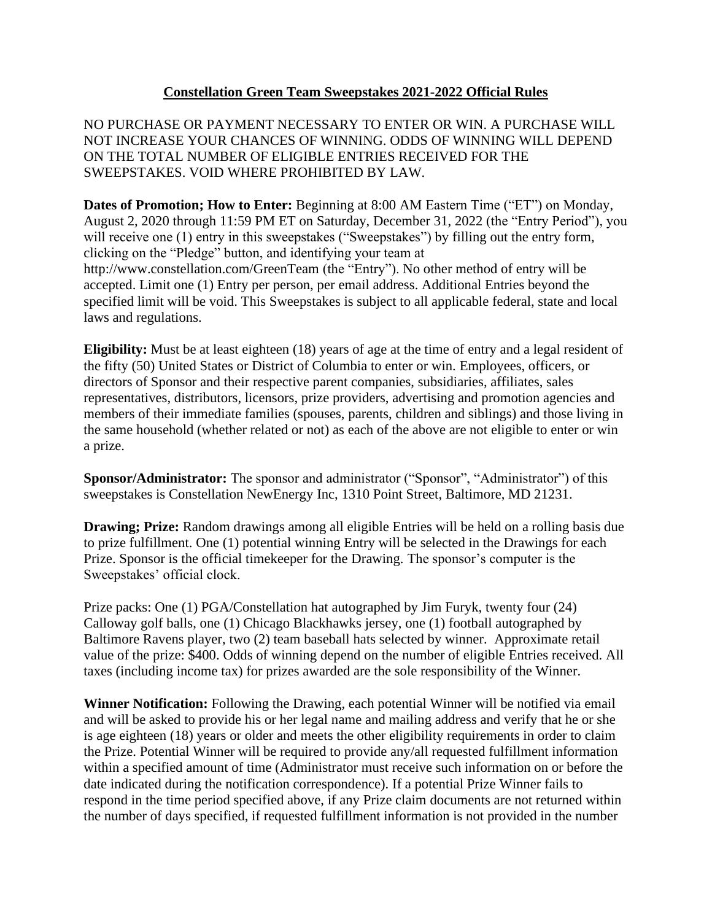## **Constellation Green Team Sweepstakes 2021-2022 Official Rules**

NO PURCHASE OR PAYMENT NECESSARY TO ENTER OR WIN. A PURCHASE WILL NOT INCREASE YOUR CHANCES OF WINNING. ODDS OF WINNING WILL DEPEND ON THE TOTAL NUMBER OF ELIGIBLE ENTRIES RECEIVED FOR THE SWEEPSTAKES. VOID WHERE PROHIBITED BY LAW.

**Dates of Promotion; How to Enter:** Beginning at 8:00 AM Eastern Time ("ET") on Monday, August 2, 2020 through 11:59 PM ET on Saturday, December 31, 2022 (the "Entry Period"), you will receive one (1) entry in this sweepstakes ("Sweepstakes") by filling out the entry form, clicking on the "Pledge" button, and identifying your team at http://www.constellation.com/GreenTeam (the "Entry"). No other method of entry will be accepted. Limit one (1) Entry per person, per email address. Additional Entries beyond the specified limit will be void. This Sweepstakes is subject to all applicable federal, state and local laws and regulations.

**Eligibility:** Must be at least eighteen (18) years of age at the time of entry and a legal resident of the fifty (50) United States or District of Columbia to enter or win. Employees, officers, or directors of Sponsor and their respective parent companies, subsidiaries, affiliates, sales representatives, distributors, licensors, prize providers, advertising and promotion agencies and members of their immediate families (spouses, parents, children and siblings) and those living in the same household (whether related or not) as each of the above are not eligible to enter or win a prize.

**Sponsor/Administrator:** The sponsor and administrator ("Sponsor", "Administrator") of this sweepstakes is Constellation NewEnergy Inc, 1310 Point Street, Baltimore, MD 21231.

**Drawing; Prize:** Random drawings among all eligible Entries will be held on a rolling basis due to prize fulfillment. One (1) potential winning Entry will be selected in the Drawings for each Prize. Sponsor is the official timekeeper for the Drawing. The sponsor's computer is the Sweepstakes' official clock.

Prize packs: One (1) PGA/Constellation hat autographed by Jim Furyk, twenty four (24) Calloway golf balls, one (1) Chicago Blackhawks jersey, one (1) football autographed by Baltimore Ravens player, two (2) team baseball hats selected by winner. Approximate retail value of the prize: \$400. Odds of winning depend on the number of eligible Entries received. All taxes (including income tax) for prizes awarded are the sole responsibility of the Winner.

**Winner Notification:** Following the Drawing, each potential Winner will be notified via email and will be asked to provide his or her legal name and mailing address and verify that he or she is age eighteen (18) years or older and meets the other eligibility requirements in order to claim the Prize. Potential Winner will be required to provide any/all requested fulfillment information within a specified amount of time (Administrator must receive such information on or before the date indicated during the notification correspondence). If a potential Prize Winner fails to respond in the time period specified above, if any Prize claim documents are not returned within the number of days specified, if requested fulfillment information is not provided in the number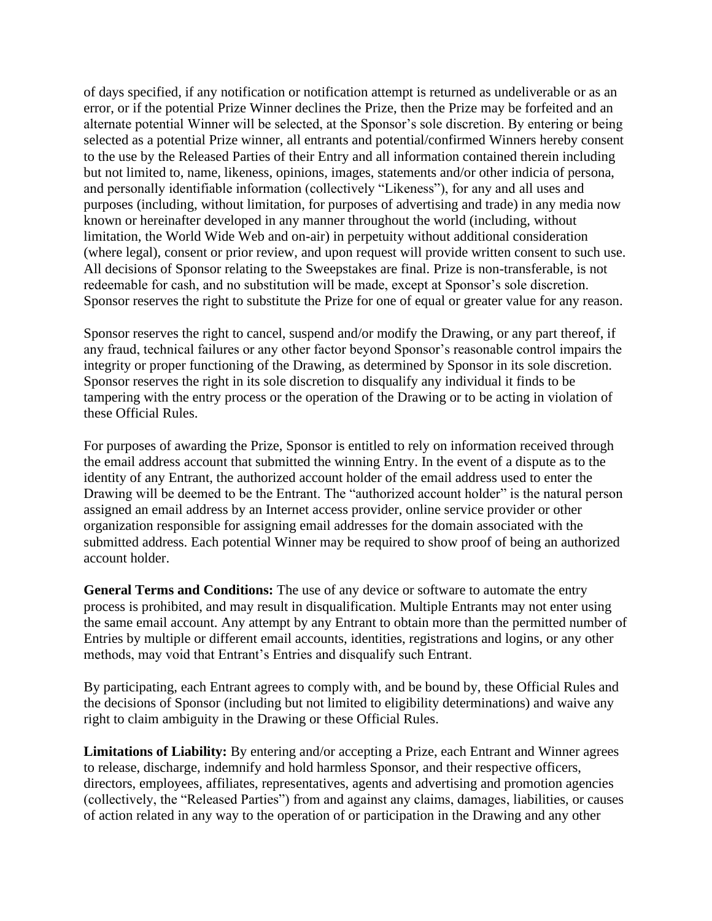of days specified, if any notification or notification attempt is returned as undeliverable or as an error, or if the potential Prize Winner declines the Prize, then the Prize may be forfeited and an alternate potential Winner will be selected, at the Sponsor's sole discretion. By entering or being selected as a potential Prize winner, all entrants and potential/confirmed Winners hereby consent to the use by the Released Parties of their Entry and all information contained therein including but not limited to, name, likeness, opinions, images, statements and/or other indicia of persona, and personally identifiable information (collectively "Likeness"), for any and all uses and purposes (including, without limitation, for purposes of advertising and trade) in any media now known or hereinafter developed in any manner throughout the world (including, without limitation, the World Wide Web and on-air) in perpetuity without additional consideration (where legal), consent or prior review, and upon request will provide written consent to such use. All decisions of Sponsor relating to the Sweepstakes are final. Prize is non-transferable, is not redeemable for cash, and no substitution will be made, except at Sponsor's sole discretion. Sponsor reserves the right to substitute the Prize for one of equal or greater value for any reason.

Sponsor reserves the right to cancel, suspend and/or modify the Drawing, or any part thereof, if any fraud, technical failures or any other factor beyond Sponsor's reasonable control impairs the integrity or proper functioning of the Drawing, as determined by Sponsor in its sole discretion. Sponsor reserves the right in its sole discretion to disqualify any individual it finds to be tampering with the entry process or the operation of the Drawing or to be acting in violation of these Official Rules.

For purposes of awarding the Prize, Sponsor is entitled to rely on information received through the email address account that submitted the winning Entry. In the event of a dispute as to the identity of any Entrant, the authorized account holder of the email address used to enter the Drawing will be deemed to be the Entrant. The "authorized account holder" is the natural person assigned an email address by an Internet access provider, online service provider or other organization responsible for assigning email addresses for the domain associated with the submitted address. Each potential Winner may be required to show proof of being an authorized account holder.

**General Terms and Conditions:** The use of any device or software to automate the entry process is prohibited, and may result in disqualification. Multiple Entrants may not enter using the same email account. Any attempt by any Entrant to obtain more than the permitted number of Entries by multiple or different email accounts, identities, registrations and logins, or any other methods, may void that Entrant's Entries and disqualify such Entrant.

By participating, each Entrant agrees to comply with, and be bound by, these Official Rules and the decisions of Sponsor (including but not limited to eligibility determinations) and waive any right to claim ambiguity in the Drawing or these Official Rules.

**Limitations of Liability:** By entering and/or accepting a Prize, each Entrant and Winner agrees to release, discharge, indemnify and hold harmless Sponsor, and their respective officers, directors, employees, affiliates, representatives, agents and advertising and promotion agencies (collectively, the "Released Parties") from and against any claims, damages, liabilities, or causes of action related in any way to the operation of or participation in the Drawing and any other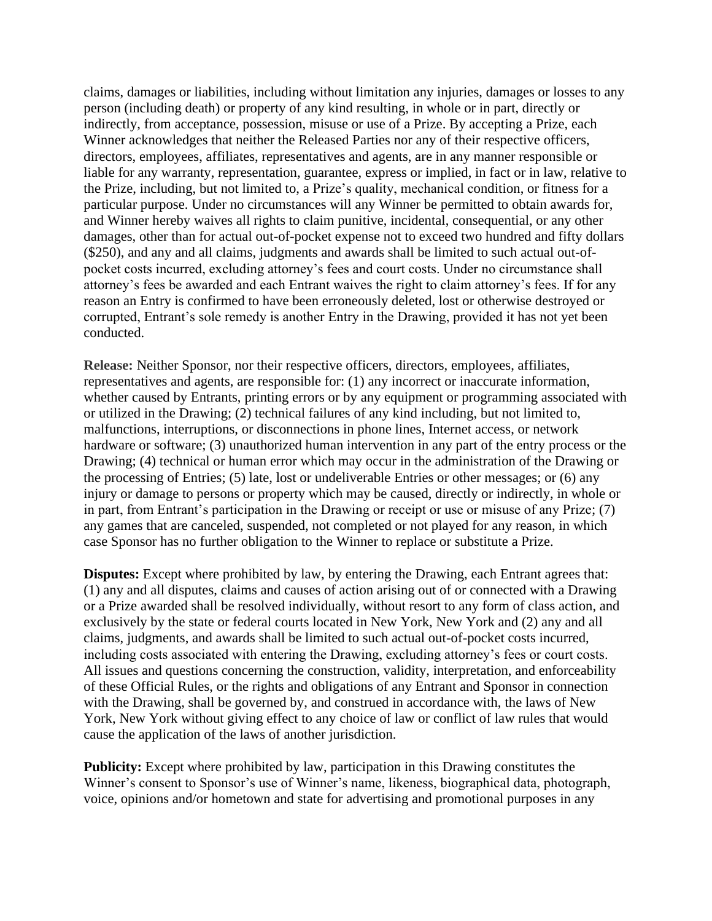claims, damages or liabilities, including without limitation any injuries, damages or losses to any person (including death) or property of any kind resulting, in whole or in part, directly or indirectly, from acceptance, possession, misuse or use of a Prize. By accepting a Prize, each Winner acknowledges that neither the Released Parties nor any of their respective officers, directors, employees, affiliates, representatives and agents, are in any manner responsible or liable for any warranty, representation, guarantee, express or implied, in fact or in law, relative to the Prize, including, but not limited to, a Prize's quality, mechanical condition, or fitness for a particular purpose. Under no circumstances will any Winner be permitted to obtain awards for, and Winner hereby waives all rights to claim punitive, incidental, consequential, or any other damages, other than for actual out-of-pocket expense not to exceed two hundred and fifty dollars (\$250), and any and all claims, judgments and awards shall be limited to such actual out-ofpocket costs incurred, excluding attorney's fees and court costs. Under no circumstance shall attorney's fees be awarded and each Entrant waives the right to claim attorney's fees. If for any reason an Entry is confirmed to have been erroneously deleted, lost or otherwise destroyed or corrupted, Entrant's sole remedy is another Entry in the Drawing, provided it has not yet been conducted.

**Release:** Neither Sponsor, nor their respective officers, directors, employees, affiliates, representatives and agents, are responsible for: (1) any incorrect or inaccurate information, whether caused by Entrants, printing errors or by any equipment or programming associated with or utilized in the Drawing; (2) technical failures of any kind including, but not limited to, malfunctions, interruptions, or disconnections in phone lines, Internet access, or network hardware or software; (3) unauthorized human intervention in any part of the entry process or the Drawing; (4) technical or human error which may occur in the administration of the Drawing or the processing of Entries; (5) late, lost or undeliverable Entries or other messages; or (6) any injury or damage to persons or property which may be caused, directly or indirectly, in whole or in part, from Entrant's participation in the Drawing or receipt or use or misuse of any Prize; (7) any games that are canceled, suspended, not completed or not played for any reason, in which case Sponsor has no further obligation to the Winner to replace or substitute a Prize.

**Disputes:** Except where prohibited by law, by entering the Drawing, each Entrant agrees that: (1) any and all disputes, claims and causes of action arising out of or connected with a Drawing or a Prize awarded shall be resolved individually, without resort to any form of class action, and exclusively by the state or federal courts located in New York, New York and (2) any and all claims, judgments, and awards shall be limited to such actual out-of-pocket costs incurred, including costs associated with entering the Drawing, excluding attorney's fees or court costs. All issues and questions concerning the construction, validity, interpretation, and enforceability of these Official Rules, or the rights and obligations of any Entrant and Sponsor in connection with the Drawing, shall be governed by, and construed in accordance with, the laws of New York, New York without giving effect to any choice of law or conflict of law rules that would cause the application of the laws of another jurisdiction.

**Publicity:** Except where prohibited by law, participation in this Drawing constitutes the Winner's consent to Sponsor's use of Winner's name, likeness, biographical data, photograph, voice, opinions and/or hometown and state for advertising and promotional purposes in any